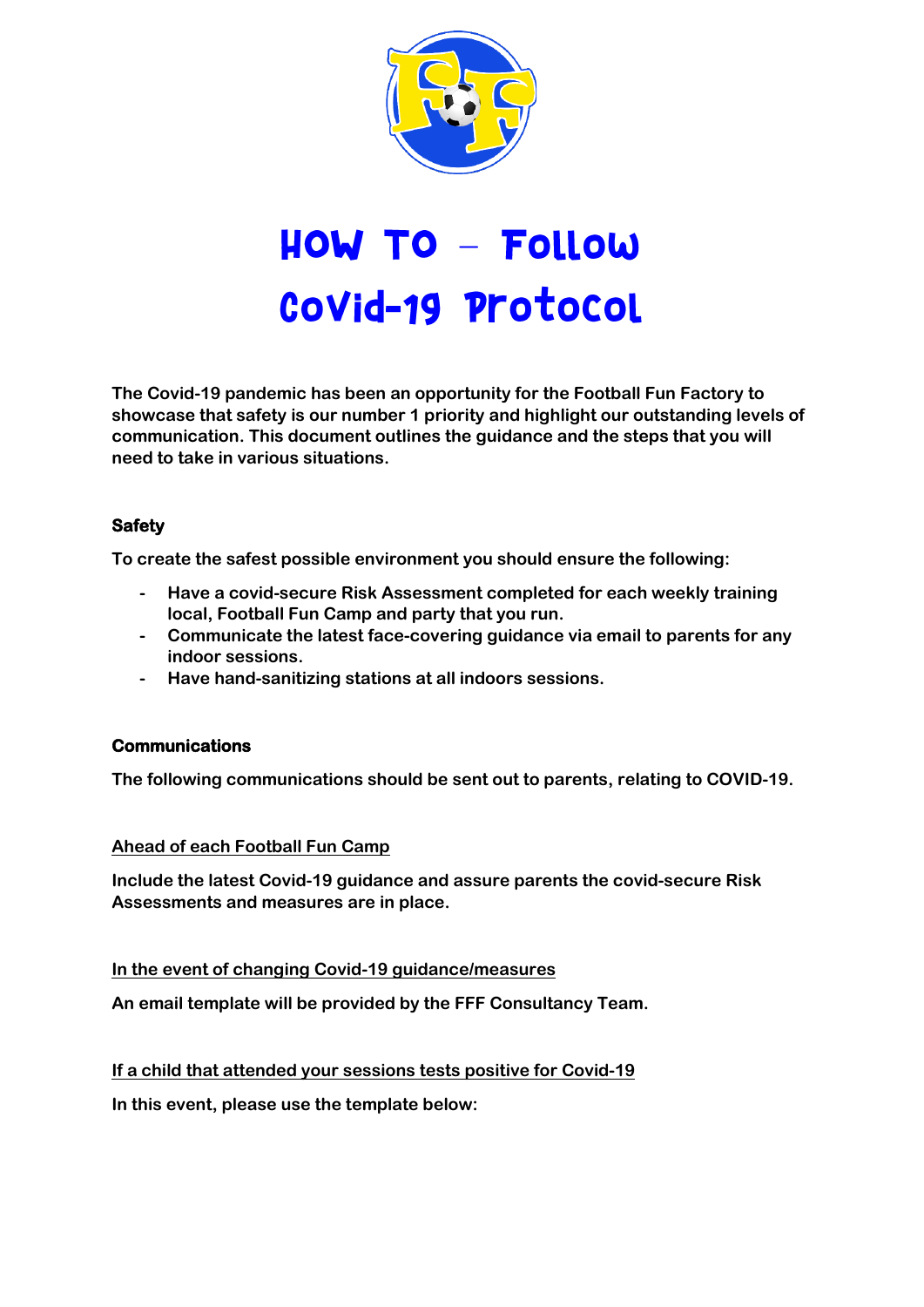

# **HOW TO - Follow** Covid-19 Protocol

**The Covid-19 pandemic has been an opportunity for the Football Fun Factory to showcase that safety is our number 1 priority and highlight our outstanding levels of communication. This document outlines the guidance and the steps that you will need to take in various situations.**

## **Safety**

**To create the safest possible environment you should ensure the following:**

- **- Have a covid-secure Risk Assessment completed for each weekly training local, Football Fun Camp and party that you run.**
- **- Communicate the latest face-covering guidance via email to parents for any indoor sessions.**
- **- Have hand-sanitizing stations at all indoors sessions.**

## **Communications**

**The following communications should be sent out to parents, relating to COVID-19.**

#### **Ahead of each Football Fun Camp**

**Include the latest Covid-19 guidance and assure parents the covid-secure Risk Assessments and measures are in place.**

#### **In the event of changing Covid-19 guidance/measures**

**An email template will be provided by the FFF Consultancy Team.**

**If a child that attended your sessions tests positive for Covid-19**

**In this event, please use the template below:**